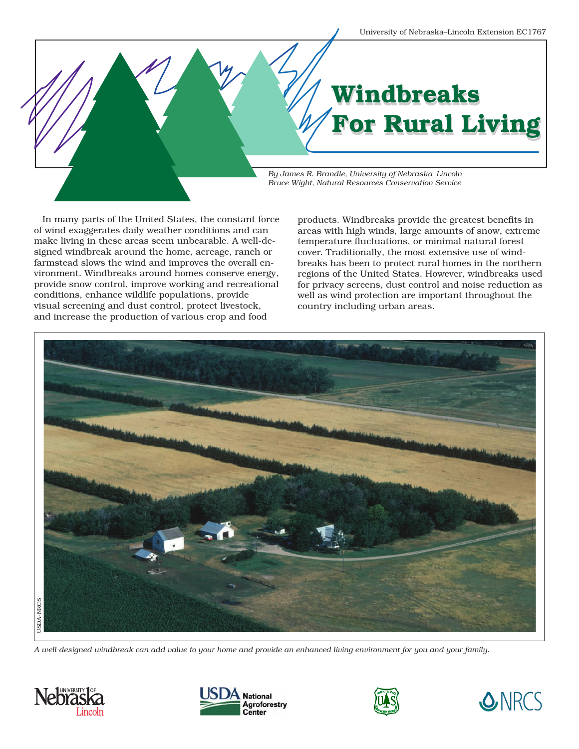# Windbreaks Windbreaks For Rural Living For Rural Living

*By James R. Brandle, University of Nebraska–Lincoln Bruce Wight, Natural Resources Conservation Service*

In many parts of the United States, the constant force of wind exaggerates daily weather conditions and can make living in these areas seem unbearable. A well-designed windbreak around the home, acreage, ranch or farmstead slows the wind and improves the overall environment. Windbreaks around homes conserve energy, provide snow control, improve working and recreational conditions, enhance wildlife populations, provide visual screening and dust control, protect livestock, and increase the production of various crop and food

products. Windbreaks provide the greatest benefits in areas with high winds, large amounts of snow, extreme temperature fluctuations, or minimal natural forest cover. Traditionally, the most extensive use of windbreaks has been to protect rural homes in the northern regions of the United States. However, windbreaks used for privacy screens, dust control and noise reduction as well as wind protection are important throughout the country including urban areas.



*A well-designed windbreak can add value to your home and provide an enhanced living environment for you and your family.*







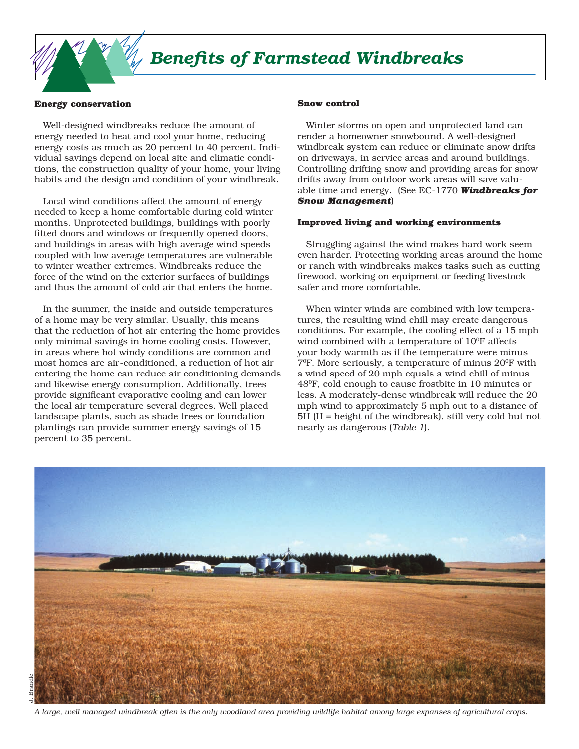# *Benefits of Farmstead Windbreaks*

#### **Energy conservation**

Well-designed windbreaks reduce the amount of energy needed to heat and cool your home, reducing energy costs as much as 20 percent to 40 percent. Individual savings depend on local site and climatic conditions, the construction quality of your home, your living habits and the design and condition of your windbreak.

Local wind conditions affect the amount of energy needed to keep a home comfortable during cold winter months. Unprotected buildings, buildings with poorly fitted doors and windows or frequently opened doors, and buildings in areas with high average wind speeds coupled with low average temperatures are vulnerable to winter weather extremes. Windbreaks reduce the force of the wind on the exterior surfaces of buildings and thus the amount of cold air that enters the home.

In the summer, the inside and outside temperatures of a home may be very similar. Usually, this means that the reduction of hot air entering the home provides only minimal savings in home cooling costs. However, in areas where hot windy conditions are common and most homes are air-conditioned, a reduction of hot air entering the home can reduce air conditioning demands and likewise energy consumption. Additionally, trees provide significant evaporative cooling and can lower the local air temperature several degrees. Well placed landscape plants, such as shade trees or foundation plantings can provide summer energy savings of 15 percent to 35 percent.

#### **Snow control**

Winter storms on open and unprotected land can render a homeowner snowbound. A well-designed windbreak system can reduce or eliminate snow drifts on driveways, in service areas and around buildings. Controlling drifting snow and providing areas for snow drifts away from outdoor work areas will save valuable time and energy. (See EC-1770 *Windbreaks for Snow Management*)

# **Improved living and working environments**

Struggling against the wind makes hard work seem even harder. Protecting working areas around the home or ranch with windbreaks makes tasks such as cutting firewood, working on equipment or feeding livestock safer and more comfortable.

When winter winds are combined with low temperatures, the resulting wind chill may create dangerous conditions. For example, the cooling effect of a 15 mph wind combined with a temperature of  $10^{\circ}$ F affects your body warmth as if the temperature were minus  $7^{\circ}$ F. More seriously, a temperature of minus  $20^{\circ}$ F with a wind speed of 20 mph equals a wind chill of minus 480F, cold enough to cause frostbite in 10 minutes or less. A moderately-dense windbreak will reduce the 20 mph wind to approximately 5 mph out to a distance of 5H (H = height of the windbreak), still very cold but not nearly as dangerous (*Table 1*).

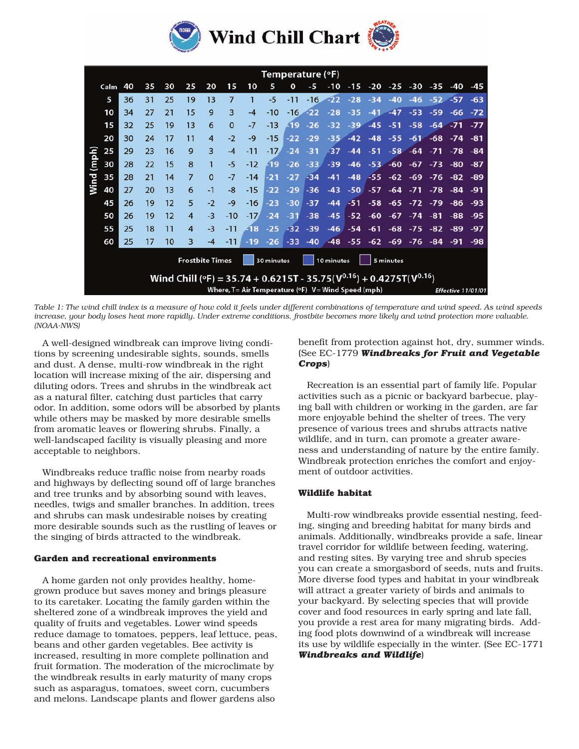

|               |      | Temperature (°F) |    |    |                         |                |                |       |                                       |          |       |                                                                                                                                             |       |       |       |       |       |                    |       |  |
|---------------|------|------------------|----|----|-------------------------|----------------|----------------|-------|---------------------------------------|----------|-------|---------------------------------------------------------------------------------------------------------------------------------------------|-------|-------|-------|-------|-------|--------------------|-------|--|
|               | Calm | 40               | 35 | 30 | 25                      | 20             | 15             | 10    | 5                                     | $\Omega$ | -5    | $-10$                                                                                                                                       | $-15$ | -20   | -25   | -30   | $-35$ | -40                | -45   |  |
|               | 5    | 36               | 31 | 25 | 19                      | 13             | $\overline{7}$ | 1     | $-5$                                  | $-11$    | $-16$ | $-22$                                                                                                                                       | $-28$ | $-34$ | $-40$ | $-46$ | $-52$ | $-57$              | $-63$ |  |
| (mph)<br>Wind | 10   | 34               | 27 | 21 | 15                      | 9              | $\overline{3}$ | $-4$  | $-10$                                 | $-16$    | $-22$ | $-28$                                                                                                                                       | $-35$ | $-41$ | $-47$ | $-53$ | $-59$ | -66                | $-72$ |  |
|               | 15   | 32               | 25 | 19 | 13                      | 6              | $\Omega$       | $-7$  | $-13$                                 | $-19$    | $-26$ | $-32$                                                                                                                                       | $-39$ | $-45$ | $-51$ | $-58$ | $-64$ | $-71$              | $-77$ |  |
|               | 20   | 30               | 24 | 17 | 11                      | $\overline{4}$ | $-2$           | $-9$  | $-15$                                 | $-22$    | $-29$ | $-35$                                                                                                                                       | $-42$ | $-48$ | $-55$ | $-61$ | $-68$ | $-74$              | -81   |  |
|               | 25   | 29               | 23 | 16 | 9                       | $\overline{3}$ | $-4$           | $-11$ | $-17$                                 | $-24$    | $-31$ | $-37$                                                                                                                                       | $-44$ | $-51$ | $-58$ | $-64$ | $-71$ | $-78$              | -84   |  |
|               | 30   | 28               | 22 | 15 | 8                       | $\mathbf{1}$   | $-5$           | $-12$ | $-19$                                 | $-26$    | $-33$ | $-39$                                                                                                                                       | $-46$ | $-53$ | $-60$ | $-67$ | $-73$ | -80                | -87   |  |
|               | 35   | 28               | 21 | 14 | $\overline{7}$          | $\Omega$       | $-7$           | $-14$ | $-21$                                 | $-27$    | $-34$ | $-41$                                                                                                                                       | $-48$ | $-55$ | $-62$ | $-69$ | $-76$ | $-82$              | -89   |  |
|               | 40   | 27               | 20 | 13 | 6                       | $-1$           | $-8$           | $-15$ | $-22$                                 | $-29$    | $-36$ | $-43$                                                                                                                                       | $-50$ | $-57$ | $-64$ | $-71$ | $-78$ | -84                | -91   |  |
|               | 45   | 26               | 19 | 12 | 5                       | $-2$           | $-9$           | $-16$ | $-23$                                 | $-30$    | $-37$ | $-44$                                                                                                                                       | $-51$ | $-58$ | $-65$ | $-72$ | $-79$ | -86                | $-93$ |  |
|               | 50   | 26               | 19 | 12 | $\overline{4}$          | $-3$           | $-10$          | $-17$ | $-24$                                 | $-31$    | $-38$ | $-45$                                                                                                                                       | $-52$ | $-60$ | $-67$ | $-74$ | -81   | $-88$              | $-95$ |  |
|               | 55   | 25               | 18 | 11 | 4                       | $-3$           | $-11$          | -18   | $-25$                                 | $-32$    | $-39$ | $-46$                                                                                                                                       | $-54$ | $-61$ | $-68$ | $-75$ | $-82$ | $-89$              | -97   |  |
|               | 60   | 25               | 17 | 10 | $\overline{\mathbf{3}}$ | $-4$           | $-11$          | $-19$ | $-26$                                 | $-33$    | $-40$ | $-48$                                                                                                                                       | $-55$ | $-62$ | $-69$ | $-76$ | $-84$ | $-91$              | -98   |  |
|               |      |                  |    |    | <b>Frostbite Times</b>  |                |                |       | 10 minutes<br>5 minutes<br>30 minutes |          |       |                                                                                                                                             |       |       |       |       |       |                    |       |  |
|               |      |                  |    |    |                         |                |                |       |                                       |          |       | Wind Chill (°F) = 35.74 + 0.6215T - 35.75( $V^{0.16}$ ) + 0.4275T( $V^{0.16}$ )<br>Where, $T = Air Temperature$ (°F) $V = Wind Speed$ (mph) |       |       |       |       |       | Effective 11/01/01 |       |  |

*Table 1: The wind chill index is a measure of how cold it feels under different combinations of temperature and wind speed. As wind speeds increase, your body loses heat more rapidly. Under extreme conditions, frostbite becomes more likely and wind protection more valuable. (NOAA-NWS)*

A well-designed windbreak can improve living conditions by screening undesirable sights, sounds, smells and dust. A dense, multi-row windbreak in the right location will increase mixing of the air, dispersing and diluting odors. Trees and shrubs in the windbreak act as a natural filter, catching dust particles that carry odor. In addition, some odors will be absorbed by plants while others may be masked by more desirable smells from aromatic leaves or flowering shrubs. Finally, a well-landscaped facility is visually pleasing and more acceptable to neighbors.

Windbreaks reduce traffic noise from nearby roads and highways by deflecting sound off of large branches and tree trunks and by absorbing sound with leaves, needles, twigs and smaller branches. In addition, trees and shrubs can mask undesirable noises by creating more desirable sounds such as the rustling of leaves or the singing of birds attracted to the windbreak.

## **Garden and recreational environments**

A home garden not only provides healthy, homegrown produce but saves money and brings pleasure to its caretaker. Locating the family garden within the sheltered zone of a windbreak improves the yield and quality of fruits and vegetables. Lower wind speeds reduce damage to tomatoes, peppers, leaf lettuce, peas, beans and other garden vegetables. Bee activity is increased, resulting in more complete pollination and fruit formation. The moderation of the microclimate by the windbreak results in early maturity of many crops such as asparagus, tomatoes, sweet corn, cucumbers and melons. Landscape plants and flower gardens also

benefit from protection against hot, dry, summer winds. (See EC-1779 *Windbreaks for Fruit and Vegetable Crops*)

Recreation is an essential part of family life. Popular activities such as a picnic or backyard barbecue, playing ball with children or working in the garden, are far more enjoyable behind the shelter of trees. The very presence of various trees and shrubs attracts native wildlife, and in turn, can promote a greater awareness and understanding of nature by the entire family. Windbreak protection enriches the comfort and enjoyment of outdoor activities.

# **Wildlife habitat**

Multi-row windbreaks provide essential nesting, feeding, singing and breeding habitat for many birds and animals. Additionally, windbreaks provide a safe, linear travel corridor for wildlife between feeding, watering, and resting sites. By varying tree and shrub species you can create a smorgasbord of seeds, nuts and fruits. More diverse food types and habitat in your windbreak will attract a greater variety of birds and animals to your backyard. By selecting species that will provide cover and food resources in early spring and late fall, you provide a rest area for many migrating birds. Adding food plots downwind of a windbreak will increase its use by wildlife especially in the winter. (See EC-1771 *Windbreaks and Wildlife*)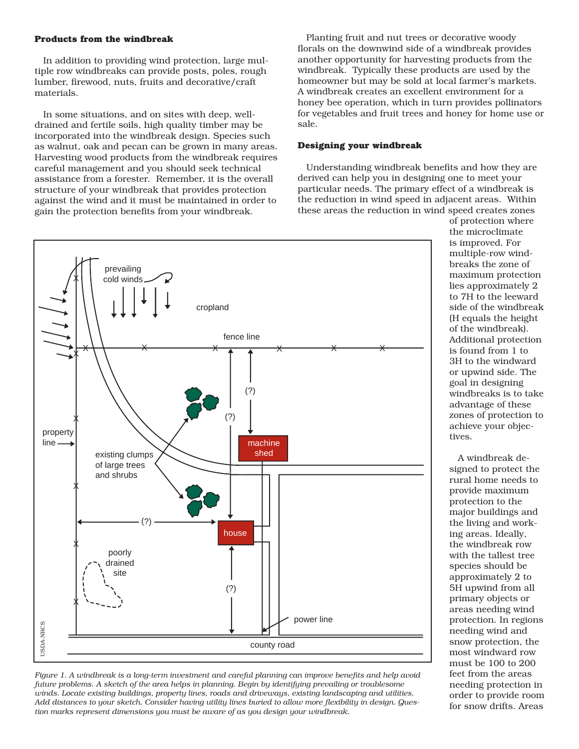### **Products from the windbreak**

In addition to providing wind protection, large multiple row windbreaks can provide posts, poles, rough lumber, firewood, nuts, fruits and decorative/craft materials.

In some situations, and on sites with deep, welldrained and fertile soils, high quality timber may be incorporated into the windbreak design. Species such as walnut, oak and pecan can be grown in many areas. Harvesting wood products from the windbreak requires careful management and you should seek technical assistance from a forester. Remember, it is the overall structure of your windbreak that provides protection against the wind and it must be maintained in order to gain the protection benefits from your windbreak.

Planting fruit and nut trees or decorative woody florals on the downwind side of a windbreak provides another opportunity for harvesting products from the windbreak. Typically these products are used by the homeowner but may be sold at local farmer's markets. A windbreak creates an excellent environment for a honey bee operation, which in turn provides pollinators for vegetables and fruit trees and honey for home use or sale.

#### **Designing your windbreak**

Understanding windbreak benefits and how they are derived can help you in designing one to meet your particular needs. The primary effect of a windbreak is the reduction in wind speed in adjacent areas. Within these areas the reduction in wind speed creates zones



*Figure 1. A windbreak is a long-term investment and careful planning can improve benefits and help avoid future problems. A sketch of the area helps in planning. Begin by identifying prevailing or troublesome winds. Locate existing buildings, property lines, roads and driveways, existing landscaping and utilities. Add distances to your sketch. Consider having utility lines buried to allow more flexibility in design. Ques-* of protection where the microclimate is improved. For multiple-row windbreaks the zone of maximum protection lies approximately 2 to 7H to the leeward side of the windbreak (H equals the height of the windbreak). Additional protection is found from 1 to 3H to the windward or upwind side. The goal in designing windbreaks is to take advantage of these zones of protection to achieve your objectives.

A windbreak designed to protect the rural home needs to provide maximum protection to the major buildings and the living and working areas. Ideally, the windbreak row with the tallest tree species should be approximately 2 to 5H upwind from all primary objects or areas needing wind protection. In regions needing wind and snow protection, the most windward row must be 100 to 200 feet from the areas needing protection in order to provide room for snow drifts. Areas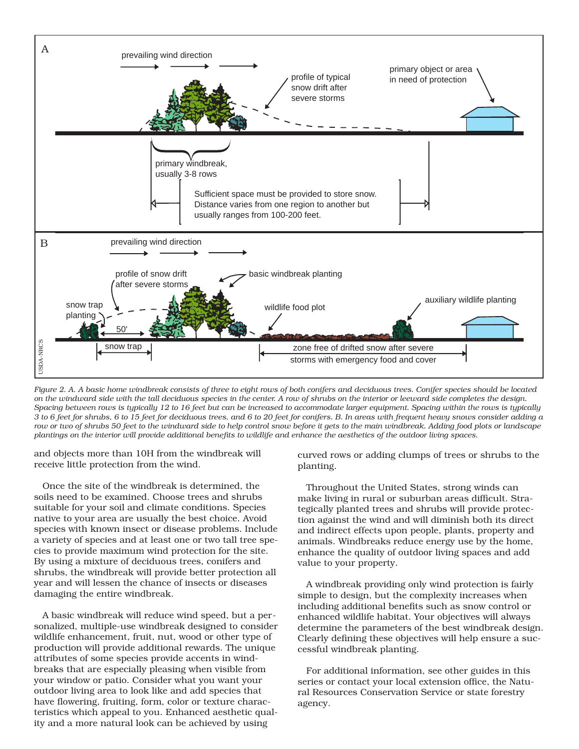

*Figure 2. A. A basic home windbreak consists of three to eight rows of both conifers and deciduous trees. Conifer species should be located on the windward side with the tall deciduous species in the center. A row of shrubs on the interior or leeward side completes the design. Spacing between rows is typically 12 to 16 feet but can be increased to accommodate larger equipment. Spacing within the rows is typically 3 to 6 feet for shrubs, 6 to 15 feet for deciduous trees, and 6 to 20 feet for conifers. B. In areas with frequent heavy snows consider adding a row or two of shrubs 50 feet to the windward side to help control snow before it gets to the main windbreak. Adding food plots or landscape plantings on the interior will provide additional benefits to wildlife and enhance the aesthetics of the outdoor living spaces.* 

and objects more than 10H from the windbreak will receive little protection from the wind.

Once the site of the windbreak is determined, the soils need to be examined. Choose trees and shrubs suitable for your soil and climate conditions. Species native to your area are usually the best choice. Avoid species with known insect or disease problems. Include a variety of species and at least one or two tall tree species to provide maximum wind protection for the site. By using a mixture of deciduous trees, conifers and shrubs, the windbreak will provide better protection all year and will lessen the chance of insects or diseases damaging the entire windbreak. Figure 2. A. A basic home windbreak consists of three to eight rot  $\frac{1}{2}$  and  $\frac{1}{2}$  and  $\frac{1}{2}$  and  $\frac{1}{2}$  and  $\frac{1}{2}$  and  $\frac{1}{2}$  and  $\frac{1}{2}$  and  $\frac{1}{2}$  and  $\frac{1}{2}$  and  $\frac{1}{2}$  and  $\frac{1}{2}$  and

A basic windbreak will reduce wind speed, but a personalized, multiple-use windbreak designed to consider wildlife enhancement, fruit, nut, wood or other type of production will provide additional rewards. The unique attributes of some species provide accents in windbreaks that are especially pleasing when visible from your window or patio. Consider what you want your outdoor living area to look like and add species that have flowering, fruiting, form, color or texture characteristics which appeal to you. Enhanced aesthetic qualcurved rows or adding clumps of trees or shrubs to the planting.

Throughout the United States, strong winds can make living in rural or suburban areas difficult. Strategically planted trees and shrubs will provide protection against the wind and will diminish both its direct and indirect effects upon people, plants, property and animals. Windbreaks reduce energy use by the home, enhance the quality of outdoor living spaces and add value to your property.

A windbreak providing only wind protection is fairly simple to design, but the complexity increases when including additional benefits such as snow control or enhanced wildlife habitat. Your objectives will always determine the parameters of the best windbreak design. Clearly defining these objectives will help ensure a successful windbreak planting.

For additional information, see other guides in this series or contact your local extension office, the Natural Resources Conservation Service or state forestry agency.